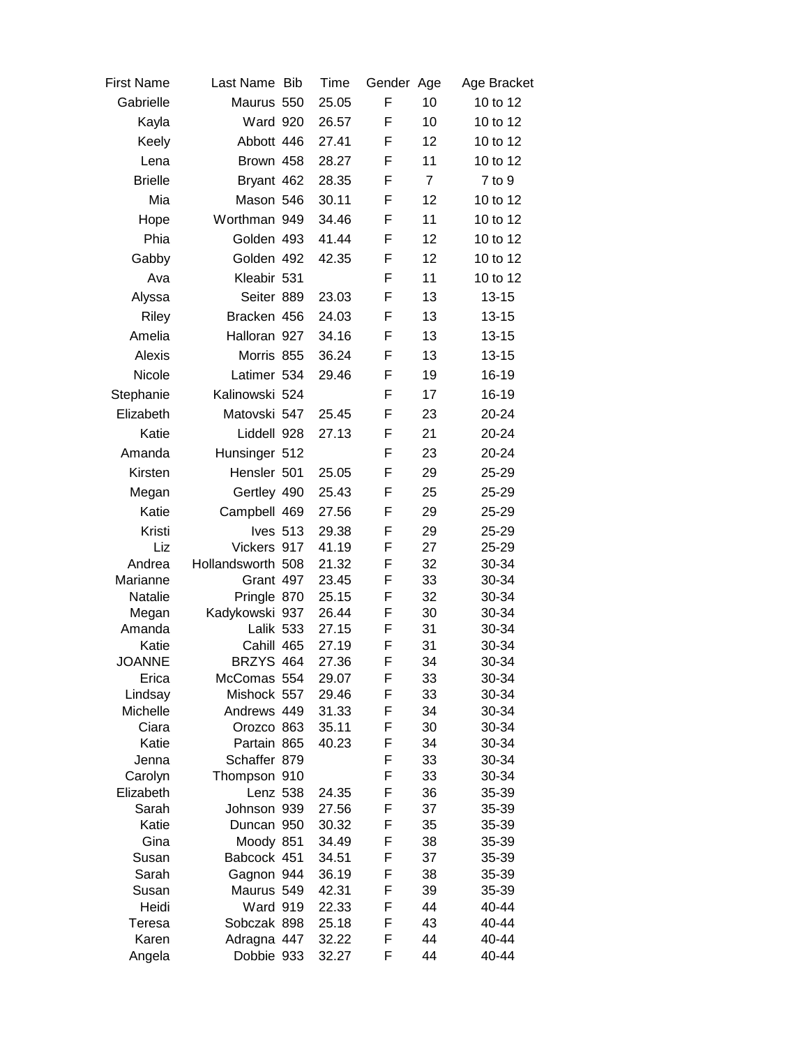| <b>First Name</b> | Last Name Bib             | Time           | Gender Age |                | Age Bracket    |
|-------------------|---------------------------|----------------|------------|----------------|----------------|
| Gabrielle         | Maurus 550                | 25.05          | F          | 10             | 10 to 12       |
| Kayla             | Ward 920                  | 26.57          | F          | 10             | 10 to 12       |
| Keely             | Abbott 446                | 27.41          | F          | 12             | 10 to 12       |
| Lena              | Brown 458                 | 28.27          | F          | 11             | 10 to 12       |
| <b>Brielle</b>    | Bryant 462                | 28.35          | F          | $\overline{7}$ | 7 to 9         |
| Mia               | Mason 546                 | 30.11          | F          | 12             | 10 to 12       |
|                   | Worthman 949              |                |            | 11             | 10 to 12       |
| Hope              |                           | 34.46          | F          |                |                |
| Phia              | Golden 493                | 41.44          | F          | 12             | 10 to 12       |
| Gabby             | Golden 492                | 42.35          | F          | 12             | 10 to 12       |
| Ava               | Kleabir 531               |                | F          | 11             | 10 to 12       |
| Alyssa            | Seiter 889                | 23.03          | F          | 13             | $13 - 15$      |
| Riley             | Bracken 456               | 24.03          | F          | 13             | $13 - 15$      |
| Amelia            | Halloran 927              | 34.16          | F          | 13             | $13 - 15$      |
| Alexis            | Morris 855                | 36.24          | F          | 13             | $13 - 15$      |
| Nicole            | Latimer 534               | 29.46          | F          | 19             | 16-19          |
| Stephanie         | Kalinowski 524            |                | F          | 17             | 16-19          |
| Elizabeth         | Matovski 547              | 25.45          | F          | 23             | 20-24          |
|                   |                           |                |            |                |                |
| Katie             | Liddell 928               | 27.13          | F          | 21             | 20-24          |
| Amanda            | Hunsinger 512             |                | F          | 23             | 20-24          |
| Kirsten           | Hensler 501               | 25.05          | F          | 29             | 25-29          |
| Megan             | Gertley 490               | 25.43          | F          | 25             | 25-29          |
| Katie             | Campbell 469              | 27.56          | F          | 29             | 25-29          |
| Kristi            | Ives 513                  | 29.38          | F          | 29             | 25-29          |
| Liz               | Vickers 917               | 41.19          | F          | 27             | 25-29          |
| Andrea            | Hollandsworth 508         | 21.32          | F          | 32             | 30-34          |
| Marianne          | Grant 497                 | 23.45          | F          | 33             | 30-34          |
| Natalie           | Pringle 870               | 25.15          | F          | 32             | 30-34          |
| Megan<br>Amanda   | Kadykowski 937            | 26.44<br>27.15 | F<br>F     | 30<br>31       | 30-34          |
| Katie             | Lalik 533<br>Cahill 465   | 27.19          | F          | 31             | 30-34<br>30-34 |
| <b>JOANNE</b>     | BRZYS 464                 | 27.36          | F          | 34             | 30-34          |
| Erica             | McComas 554               | 29.07          | F          | 33             | 30-34          |
| Lindsay           | Mishock 557               | 29.46          | F          | 33             | 30-34          |
| Michelle          | Andrews 449               | 31.33          | F          | 34             | 30-34          |
| Ciara             | Orozco 863                | 35.11          | F          | 30             | 30-34          |
| Katie             | Partain 865               | 40.23          | F          | 34             | 30-34          |
| Jenna             | Schaffer 879              |                | F          | 33             | 30-34          |
| Carolyn           | Thompson 910              |                | F          | 33             | 30-34          |
| Elizabeth         | Lenz 538                  | 24.35          | F          | 36             | 35-39          |
| Sarah             | Johnson 939<br>Duncan 950 | 27.56          | F<br>F     | 37             | 35-39<br>35-39 |
| Katie<br>Gina     | Moody 851                 | 30.32<br>34.49 | F          | 35<br>38       | 35-39          |
| Susan             | Babcock 451               | 34.51          | F          | 37             | 35-39          |
| Sarah             | Gagnon 944                | 36.19          | F          | 38             | 35-39          |
| Susan             | Maurus 549                | 42.31          | F          | 39             | 35-39          |
| Heidi             | <b>Ward 919</b>           | 22.33          | F          | 44             | 40-44          |
| Teresa            | Sobczak 898               | 25.18          | F          | 43             | 40-44          |
| Karen             | Adragna 447               | 32.22          | F          | 44             | 40-44          |
| Angela            | Dobbie 933                | 32.27          | F          | 44             | 40-44          |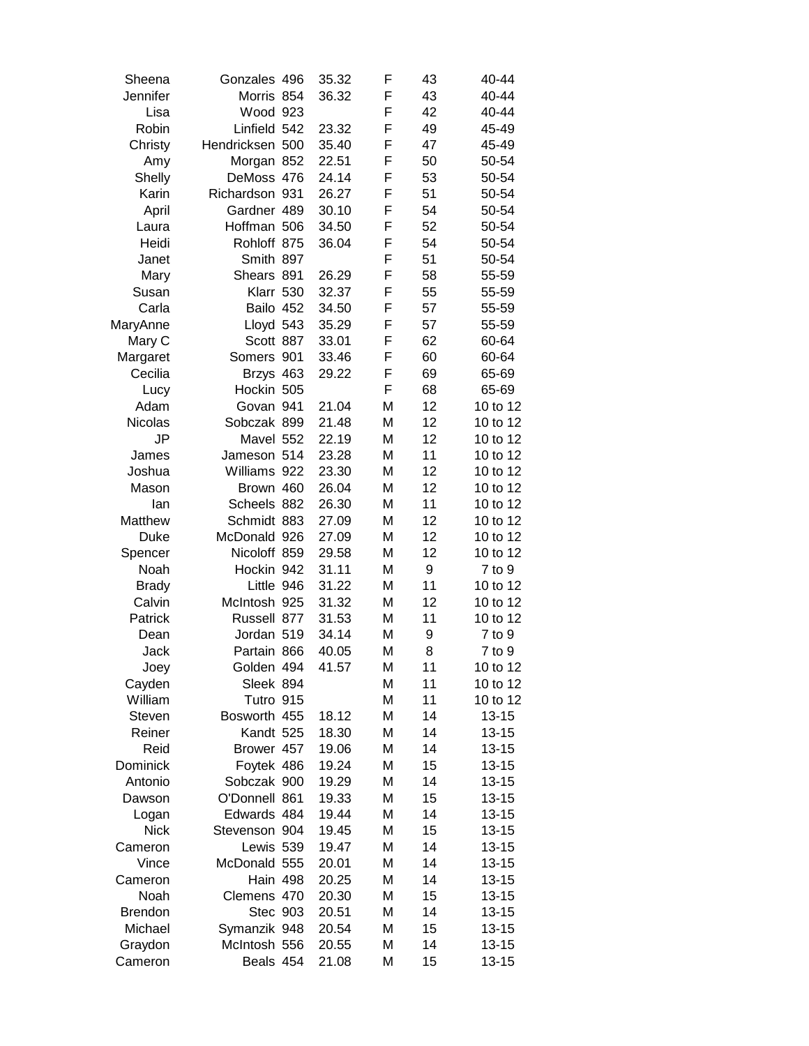| Sheena          | Gonzales 496    | 35.32          | F      | 43 | 40-44                  |
|-----------------|-----------------|----------------|--------|----|------------------------|
| Jennifer        | Morris 854      | 36.32          | F      | 43 | 40-44                  |
| Lisa            | Wood 923        |                | F      | 42 | 40-44                  |
| Robin           | Linfield 542    | 23.32          | F      | 49 | 45-49                  |
| Christy         | Hendricksen 500 | 35.40          | F      | 47 | 45-49                  |
| Amy             | Morgan 852      | 22.51          | F      | 50 | 50-54                  |
| Shelly          | DeMoss 476      | 24.14          | F      | 53 | 50-54                  |
| Karin           | Richardson 931  | 26.27          | F      | 51 | 50-54                  |
| April           | Gardner 489     | 30.10          | F      | 54 | 50-54                  |
| Laura           | Hoffman 506     | 34.50          | F      | 52 | 50-54                  |
| Heidi           | Rohloff 875     | 36.04          | F      | 54 | 50-54                  |
| Janet           | Smith 897       |                | F      | 51 | 50-54                  |
| Mary            | Shears 891      | 26.29          | F      | 58 | 55-59                  |
| Susan           | Klarr 530       | 32.37          | F      | 55 | 55-59                  |
| Carla           | Bailo 452       | 34.50          | F      | 57 | 55-59                  |
| MaryAnne        | Lloyd 543       | 35.29          | F      | 57 | 55-59                  |
| Mary C          | Scott 887       | 33.01          | F      | 62 | 60-64                  |
| Margaret        | Somers 901      | 33.46          | F      | 60 | 60-64                  |
| Cecilia         | Brzys 463       | 29.22          | F      | 69 | 65-69                  |
| Lucy            | Hockin 505      |                | F      | 68 | 65-69                  |
| Adam            | Govan 941       | 21.04          | M      | 12 | 10 to 12               |
| Nicolas         | Sobczak 899     | 21.48          | M      | 12 | 10 to 12               |
| JP              | Mavel 552       | 22.19          | M      | 12 | 10 to 12               |
| James           | Jameson 514     | 23.28          | M      | 11 | 10 to 12               |
| Joshua          | Williams 922    | 23.30          | M      | 12 | 10 to 12               |
| Mason           | Brown 460       | 26.04          | М      | 12 | 10 to 12               |
| lan             | Scheels 882     | 26.30          | M      | 11 | 10 to 12               |
| Matthew         | Schmidt 883     | 27.09          | М      | 12 | 10 to 12               |
| <b>Duke</b>     | McDonald 926    | 27.09          | M      | 12 | 10 to 12               |
| Spencer         | Nicoloff 859    | 29.58          | М      | 12 | 10 to 12               |
| Noah            | Hockin 942      | 31.11          | М      | 9  | $7$ to $9$             |
| <b>Brady</b>    | Little 946      | 31.22          | М      | 11 | 10 to 12               |
| Calvin          | McIntosh 925    | 31.32          | M      | 12 | 10 to 12               |
| Patrick         | Russell 877     | 31.53          | M      | 11 | 10 to 12               |
| Dean            | Jordan 519      | 34.14          | М      | 9  | 7 to 9                 |
| Jack            | Partain 866     | 40.05          | M      | 8  | $7$ to $9$             |
| Joey            | Golden 494      | 41.57          | Μ      | 11 | 10 to 12               |
| Cayden          | Sleek 894       |                | М      | 11 | 10 to 12               |
| William         | Tutro 915       |                | М      | 11 | 10 to 12               |
| Steven          | Bosworth 455    | 18.12          | M      | 14 | $13 - 15$              |
| Reiner          | Kandt 525       | 18.30          | M      | 14 | $13 - 15$              |
| Reid            | Brower 457      | 19.06          | M      | 14 | $13 - 15$              |
| Dominick        | Foytek 486      | 19.24          | M      | 15 | $13 - 15$              |
| Antonio         | Sobczak 900     | 19.29          | M      | 14 | $13 - 15$              |
| Dawson          | O'Donnell 861   | 19.33          | M      | 15 | $13 - 15$              |
| Logan           | Edwards 484     | 19.44          | Μ      | 14 | $13 - 15$              |
| <b>Nick</b>     | Stevenson 904   | 19.45          | M      | 15 | $13 - 15$              |
| Cameron         | Lewis 539       | 19.47          | M      | 14 | $13 - 15$              |
| Vince           | McDonald 555    | 20.01          | M      | 14 | $13 - 15$              |
|                 | Hain 498        |                |        | 14 |                        |
| Cameron<br>Noah | Clemens 470     | 20.25<br>20.30 | М<br>Μ | 15 | $13 - 15$<br>$13 - 15$ |
| <b>Brendon</b>  | Stec 903        | 20.51          | Μ      | 14 | $13 - 15$              |
| Michael         | Symanzik 948    | 20.54          | Μ      | 15 | $13 - 15$              |
| Graydon         | McIntosh 556    | 20.55          | M      | 14 | $13 - 15$              |
| Cameron         | Beals 454       | 21.08          | M      | 15 |                        |
|                 |                 |                |        |    | 13-15                  |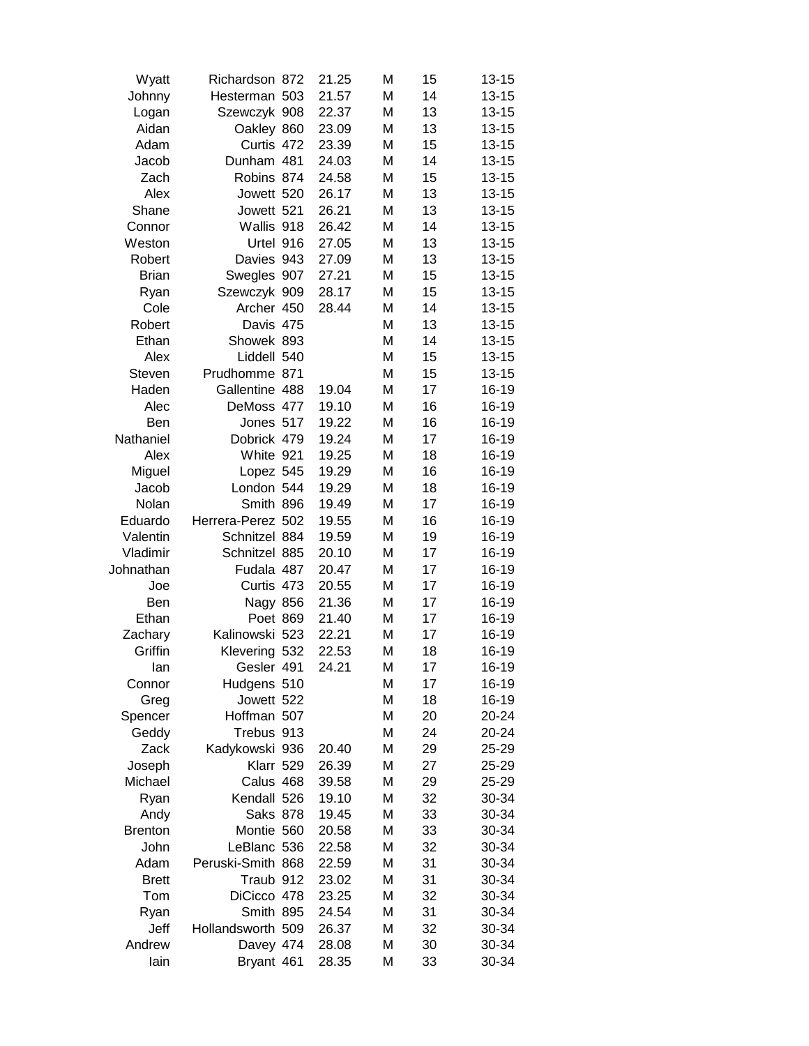| Wyatt          | Richardson 872    | 21.25 | M | 15 | $13 - 15$ |
|----------------|-------------------|-------|---|----|-----------|
| Johnny         | Hesterman 503     | 21.57 | M | 14 | $13 - 15$ |
| Logan          | Szewczyk 908      | 22.37 | M | 13 | $13 - 15$ |
| Aidan          | Oakley 860        | 23.09 | M | 13 | $13 - 15$ |
| Adam           | Curtis 472        | 23.39 | M | 15 | $13 - 15$ |
| Jacob          | Dunham 481        | 24.03 | M | 14 | $13 - 15$ |
| Zach           | Robins 874        | 24.58 | M | 15 | $13 - 15$ |
| Alex           | Jowett 520        | 26.17 | M | 13 | $13 - 15$ |
| Shane          | Jowett 521        | 26.21 | M | 13 | $13 - 15$ |
| Connor         | Wallis 918        | 26.42 | M | 14 | $13 - 15$ |
| Weston         | Urtel 916         | 27.05 | M | 13 | $13 - 15$ |
| Robert         | Davies 943        | 27.09 | M | 13 | $13 - 15$ |
| <b>Brian</b>   | Swegles 907       | 27.21 | M | 15 | $13 - 15$ |
| Ryan           | Szewczyk 909      | 28.17 | M | 15 | $13 - 15$ |
| Cole           | Archer 450        | 28.44 | M | 14 | $13 - 15$ |
| Robert         | Davis 475         |       | M | 13 | $13 - 15$ |
| Ethan          | Showek 893        |       | M | 14 | $13 - 15$ |
| Alex           | Liddell 540       |       | M | 15 | $13 - 15$ |
| Steven         | Prudhomme 871     |       | M | 15 | $13 - 15$ |
| Haden          | Gallentine 488    | 19.04 | M | 17 | 16-19     |
| Alec           | DeMoss 477        | 19.10 | M | 16 | 16-19     |
| Ben            | Jones 517         | 19.22 | M | 16 | 16-19     |
| Nathaniel      | Dobrick 479       | 19.24 | M | 17 | 16-19     |
| Alex           | White 921         | 19.25 | M | 18 | 16-19     |
| Miguel         | Lopez 545         | 19.29 | M | 16 | 16-19     |
| Jacob          | London 544        | 19.29 | M | 18 | 16-19     |
| Nolan          | Smith 896         | 19.49 | M | 17 | 16-19     |
| Eduardo        | Herrera-Perez 502 | 19.55 | M | 16 | 16-19     |
| Valentin       | Schnitzel 884     | 19.59 | M | 19 | 16-19     |
| Vladimir       | Schnitzel 885     | 20.10 | M | 17 | 16-19     |
| Johnathan      | Fudala 487        | 20.47 | M | 17 | 16-19     |
| Joe            | Curtis 473        | 20.55 | M | 17 | 16-19     |
| Ben            | Nagy 856          | 21.36 | M | 17 | 16-19     |
| Ethan          | Poet 869          | 21.40 | М | 17 | 16-19     |
| Zachary        | Kalinowski 523    | 22.21 | M | 17 | 16-19     |
| Griffin        | Klevering 532     | 22.53 | M | 18 | 16-19     |
| lan            | Gesler 491        | 24.21 | М | 17 | 16-19     |
| Connor         | Hudgens 510       |       | М | 17 | 16-19     |
| Greg           | Jowett 522        |       | М | 18 | 16-19     |
| Spencer        | Hoffman 507       |       | M | 20 | 20-24     |
| Geddy          | Trebus 913        |       | M | 24 | 20-24     |
| Zack           | Kadykowski 936    | 20.40 | M | 29 | 25-29     |
| Joseph         | Klarr 529         | 26.39 | М | 27 | 25-29     |
| Michael        | Calus 468         | 39.58 | М | 29 | 25-29     |
| Ryan           | Kendall 526       | 19.10 | М | 32 | 30-34     |
| Andy           | <b>Saks 878</b>   | 19.45 | М | 33 | 30-34     |
| <b>Brenton</b> | Montie 560        | 20.58 | М | 33 | 30-34     |
| John           | LeBlanc 536       | 22.58 | М | 32 | 30-34     |
| Adam           | Peruski-Smith 868 | 22.59 | М | 31 | 30-34     |
| <b>Brett</b>   | Traub 912         | 23.02 | М | 31 | 30-34     |
| Tom            | DiCicco 478       | 23.25 | M | 32 | 30-34     |
| Ryan           | Smith 895         | 24.54 | М | 31 | 30-34     |
| Jeff           | Hollandsworth 509 | 26.37 | М | 32 | 30-34     |
| Andrew         | Davey 474         | 28.08 | M | 30 | 30-34     |
| lain           | Bryant 461        | 28.35 | М | 33 | 30-34     |
|                |                   |       |   |    |           |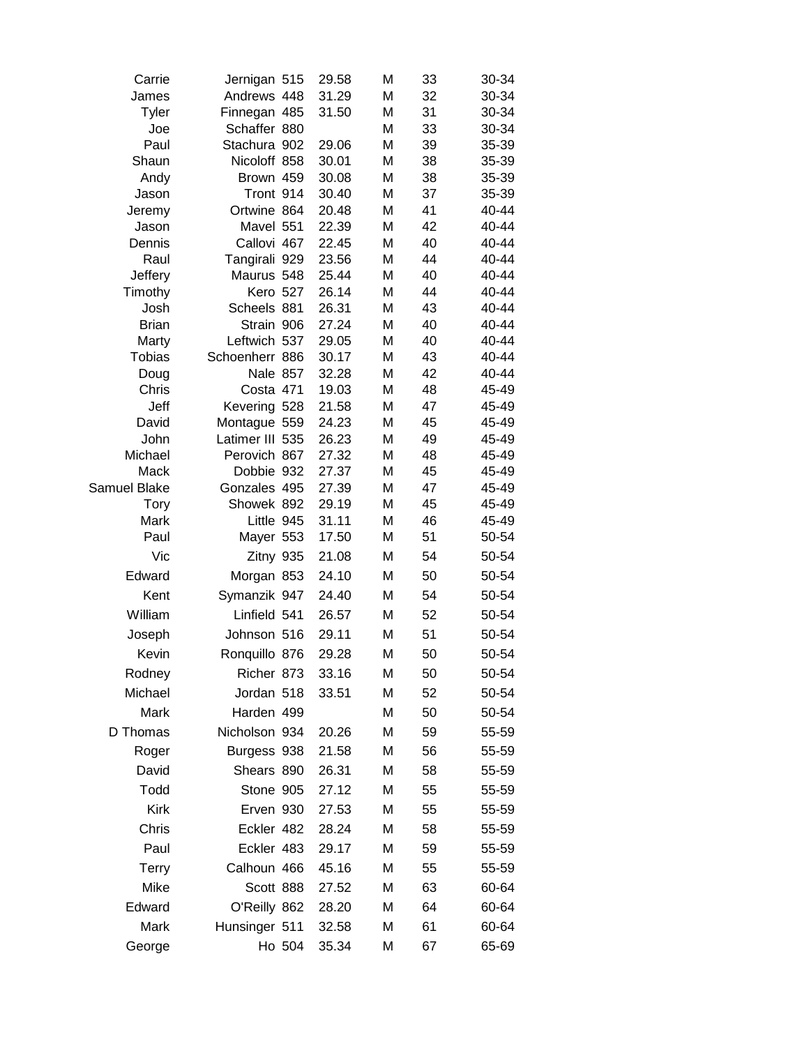| Carrie          | Jernigan 515             |        | 29.58          | M      | 33       | 30-34          |
|-----------------|--------------------------|--------|----------------|--------|----------|----------------|
| James           | Andrews 448              |        | 31.29          | M      | 32       | 30-34          |
| Tyler           | Finnegan 485             |        | 31.50          | M      | 31       | 30-34          |
| Joe             | Schaffer 880             |        |                | M      | 33       | 30-34          |
| Paul            | Stachura 902             |        | 29.06          | Μ      | 39       | 35-39          |
| Shaun           | Nicoloff 858             |        | 30.01          | M      | 38       | 35-39          |
| Andy            | Brown 459                |        | 30.08          | M      | 38       | 35-39          |
| Jason           | Tront 914                |        | 30.40          | M      | 37<br>41 | 35-39          |
| Jeremy          | Ortwine 864<br>Mavel 551 |        | 20.48<br>22.39 | M<br>M | 42       | 40-44<br>40-44 |
| Jason<br>Dennis | Callovi 467              |        | 22.45          | M      | 40       | 40-44          |
| Raul            | Tangirali 929            |        | 23.56          | M      | 44       | 40-44          |
| Jeffery         | Maurus 548               |        | 25.44          | M      | 40       | 40-44          |
| Timothy         | Kero 527                 |        | 26.14          | M      | 44       | 40-44          |
| Josh            | Scheels 881              |        | 26.31          | M      | 43       | 40-44          |
| <b>Brian</b>    | Strain 906               |        | 27.24          | M      | 40       | 40-44          |
| Marty           | Leftwich 537             |        | 29.05          | M      | 40       | 40-44          |
| <b>Tobias</b>   | Schoenherr 886           |        | 30.17          | M      | 43       | 40-44          |
| Doug            | Nale 857                 |        | 32.28          | M      | 42       | 40-44          |
| Chris           | Costa 471                |        | 19.03          | M      | 48       | 45-49          |
| Jeff            | Kevering 528             |        | 21.58          | M      | 47       | 45-49          |
| David           | Montague 559             |        | 24.23          | M      | 45       | 45-49          |
| John            | Latimer III 535          |        | 26.23          | M      | 49       | 45-49          |
| Michael         | Perovich 867             |        | 27.32          | M      | 48       | 45-49          |
| Mack            | Dobbie 932               |        | 27.37          | M      | 45       | 45-49          |
| Samuel Blake    | Gonzales 495             |        | 27.39          | M      | 47       | 45-49          |
| <b>Tory</b>     | Showek 892               |        | 29.19          | M      | 45       | 45-49          |
| Mark<br>Paul    | Little 945<br>Mayer 553  |        | 31.11<br>17.50 | M<br>M | 46<br>51 | 45-49<br>50-54 |
|                 |                          |        |                |        |          |                |
| Vic             | Zitny 935                |        | 21.08          | M      | 54       | 50-54          |
| Edward          | Morgan 853               |        | 24.10          | M      | 50       | 50-54          |
| Kent            | Symanzik 947             |        | 24.40          | M      | 54       | 50-54          |
| William         | Linfield 541             |        | 26.57          | M      | 52       | 50-54          |
| Joseph          | Johnson 516              |        | 29.11          | M      | 51       | 50-54          |
| Kevin           | Ronquillo 876            |        | 29.28          | M      | 50       | 50-54          |
| Rodney          | Richer 873               |        | 33.16          | M      | 50       | 50-54          |
| Michael         | Jordan 518               |        | 33.51          | M      | 52       | 50-54          |
| Mark            | Harden 499               |        |                | М      | 50       | 50-54          |
| D Thomas        | Nicholson 934            |        | 20.26          | M      | 59       | 55-59          |
| Roger           | Burgess 938              |        | 21.58          | М      | 56       | 55-59          |
| David           | Shears 890               |        | 26.31          | M      | 58       | 55-59          |
| Todd            | Stone 905                |        | 27.12          | M      | 55       | 55-59          |
| <b>Kirk</b>     | Erven 930                |        | 27.53          | M      | 55       | 55-59          |
| Chris           | Eckler 482               |        | 28.24          | M      | 58       | 55-59          |
| Paul            | Eckler 483               |        | 29.17          | M      | 59       | 55-59          |
| <b>Terry</b>    | Calhoun 466              |        | 45.16          | M      | 55       | 55-59          |
| Mike            | Scott 888                |        | 27.52          | M      | 63       | 60-64          |
| Edward          | O'Reilly 862             |        | 28.20          | M      | 64       | 60-64          |
| Mark            | Hunsinger 511            |        | 32.58          | М      | 61       | 60-64          |
|                 |                          | Ho 504 | 35.34          | М      | 67       | 65-69          |
| George          |                          |        |                |        |          |                |